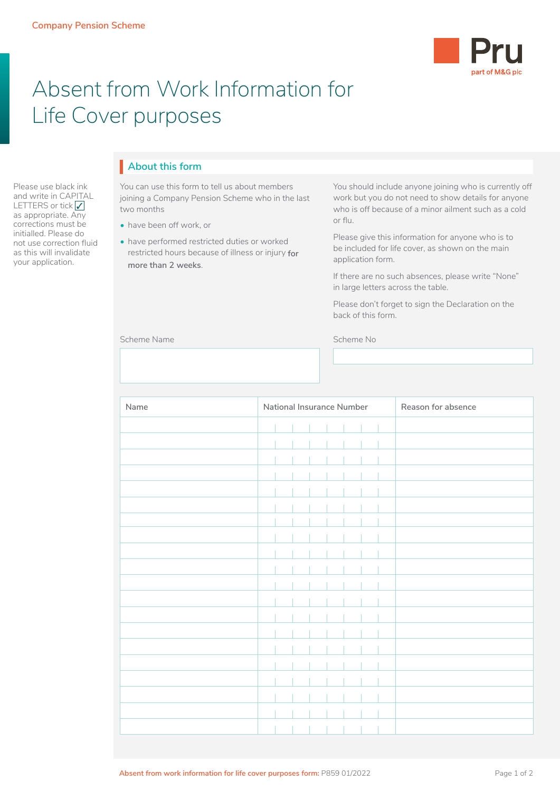

## Absent from Work Information for Life Cover purposes

Please use black ink and write in CAPITAL LETTERS or tick  $\sqrt{}$ as appropriate. Any corrections must be initialled. Please do not use correction fluid as this will invalidate your application.

## **About this form** I

You can use this form to tell us about members joining a Company Pension Scheme who in the last two months

- have been off work, or
- have performed restricted duties or worked restricted hours because of illness or injury **for more than 2 weeks**.

You should include anyone joining who is currently off work but you do not need to show details for anyone who is off because of a minor ailment such as a cold or flu.

Please give this information for anyone who is to be included for life cover, as shown on the main application form.

If there are no such absences, please write "None" in large letters across the table.

Please don't forget to sign the Declaration on the back of this form.

Scheme No

| scrienie ivanie. |  |  |
|------------------|--|--|
|                  |  |  |

| Name | National Insurance Number |  |  |  |  |  | Reason for absence |  |
|------|---------------------------|--|--|--|--|--|--------------------|--|
|      |                           |  |  |  |  |  |                    |  |
|      |                           |  |  |  |  |  |                    |  |
|      |                           |  |  |  |  |  |                    |  |
|      |                           |  |  |  |  |  |                    |  |
|      |                           |  |  |  |  |  |                    |  |
|      |                           |  |  |  |  |  |                    |  |
|      |                           |  |  |  |  |  |                    |  |
|      |                           |  |  |  |  |  |                    |  |
|      |                           |  |  |  |  |  |                    |  |
|      |                           |  |  |  |  |  |                    |  |
|      |                           |  |  |  |  |  |                    |  |
|      |                           |  |  |  |  |  |                    |  |
|      |                           |  |  |  |  |  |                    |  |
|      |                           |  |  |  |  |  |                    |  |
|      |                           |  |  |  |  |  |                    |  |
|      |                           |  |  |  |  |  |                    |  |
|      |                           |  |  |  |  |  |                    |  |
|      |                           |  |  |  |  |  |                    |  |
|      |                           |  |  |  |  |  |                    |  |
|      |                           |  |  |  |  |  |                    |  |